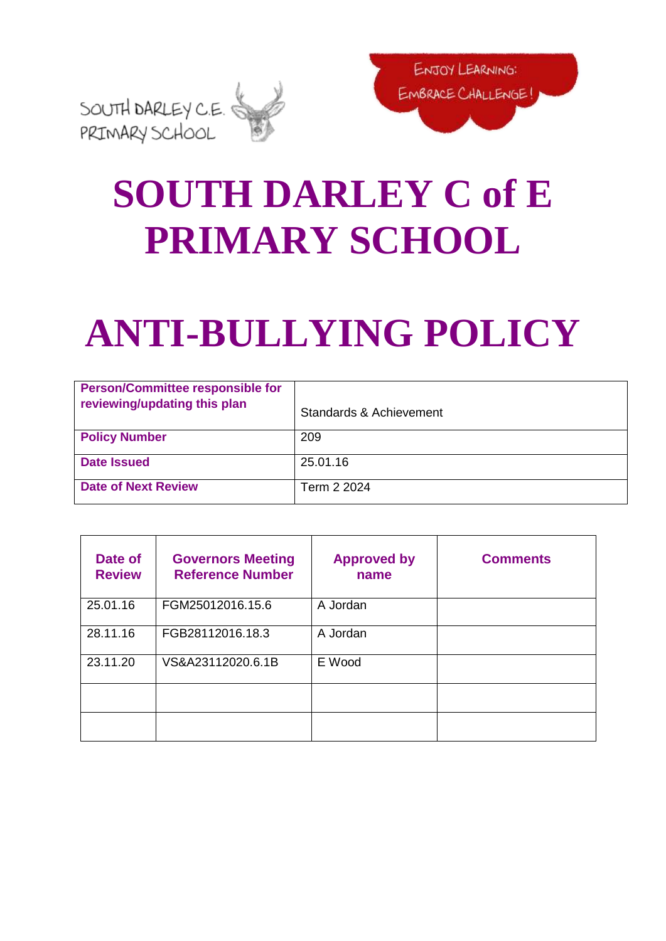

## **SOUTH DARLEY C of E PRIMARY SCHOOL**

# **ANTI-BULLYING POLICY**

| <b>Person/Committee responsible for</b><br>reviewing/updating this plan | Standards & Achievement |
|-------------------------------------------------------------------------|-------------------------|
| <b>Policy Number</b>                                                    | 209                     |
| <b>Date Issued</b>                                                      | 25.01.16                |
| <b>Date of Next Review</b>                                              | Term 2 2024             |

| Date of<br><b>Review</b> | <b>Governors Meeting</b><br><b>Reference Number</b> | <b>Approved by</b><br>name | <b>Comments</b> |
|--------------------------|-----------------------------------------------------|----------------------------|-----------------|
| 25.01.16                 | FGM25012016.15.6                                    | A Jordan                   |                 |
| 28.11.16                 | FGB28112016.18.3                                    | A Jordan                   |                 |
| 23.11.20                 | VS&A23112020.6.1B                                   | E Wood                     |                 |
|                          |                                                     |                            |                 |
|                          |                                                     |                            |                 |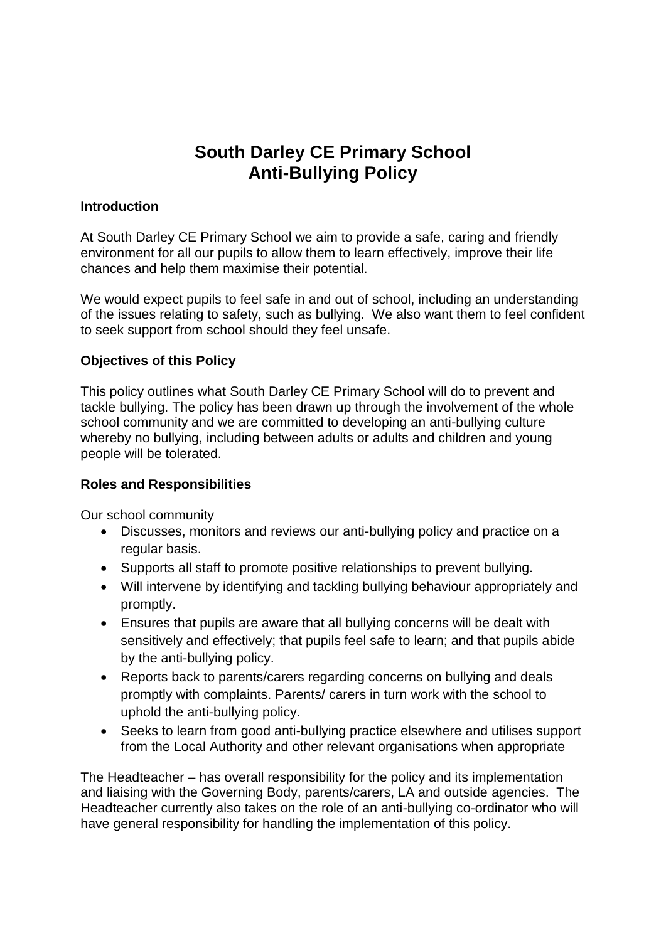## **South Darley CE Primary School Anti-Bullying Policy**

#### **Introduction**

At South Darley CE Primary School we aim to provide a safe, caring and friendly environment for all our pupils to allow them to learn effectively, improve their life chances and help them maximise their potential.

We would expect pupils to feel safe in and out of school, including an understanding of the issues relating to safety, such as bullying. We also want them to feel confident to seek support from school should they feel unsafe.

#### **Objectives of this Policy**

This policy outlines what South Darley CE Primary School will do to prevent and tackle bullying. The policy has been drawn up through the involvement of the whole school community and we are committed to developing an anti-bullying culture whereby no bullying, including between adults or adults and children and young people will be tolerated.

#### **Roles and Responsibilities**

Our school community

- Discusses, monitors and reviews our anti-bullying policy and practice on a regular basis.
- Supports all staff to promote positive relationships to prevent bullying.
- Will intervene by identifying and tackling bullying behaviour appropriately and promptly.
- Ensures that pupils are aware that all bullying concerns will be dealt with sensitively and effectively; that pupils feel safe to learn; and that pupils abide by the anti-bullying policy.
- Reports back to parents/carers regarding concerns on bullying and deals promptly with complaints. Parents/ carers in turn work with the school to uphold the anti-bullying policy.
- Seeks to learn from good anti-bullying practice elsewhere and utilises support from the Local Authority and other relevant organisations when appropriate

The Headteacher – has overall responsibility for the policy and its implementation and liaising with the Governing Body, parents/carers, LA and outside agencies. The Headteacher currently also takes on the role of an anti-bullying co-ordinator who will have general responsibility for handling the implementation of this policy.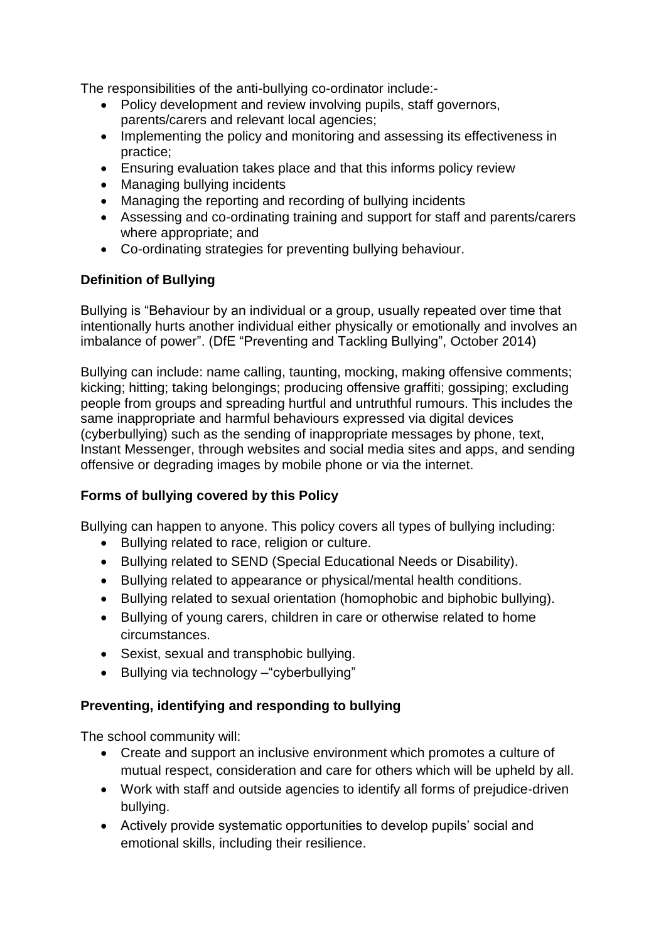The responsibilities of the anti-bullying co-ordinator include:-

- Policy development and review involving pupils, staff governors, parents/carers and relevant local agencies;
- Implementing the policy and monitoring and assessing its effectiveness in practice;
- Ensuring evaluation takes place and that this informs policy review
- Managing bullying incidents
- Managing the reporting and recording of bullying incidents
- Assessing and co-ordinating training and support for staff and parents/carers where appropriate; and
- Co-ordinating strategies for preventing bullying behaviour.

#### **Definition of Bullying**

Bullying is "Behaviour by an individual or a group, usually repeated over time that intentionally hurts another individual either physically or emotionally and involves an imbalance of power". (DfE "Preventing and Tackling Bullying", October 2014)

Bullying can include: name calling, taunting, mocking, making offensive comments; kicking; hitting; taking belongings; producing offensive graffiti; gossiping; excluding people from groups and spreading hurtful and untruthful rumours. This includes the same inappropriate and harmful behaviours expressed via digital devices (cyberbullying) such as the sending of inappropriate messages by phone, text, Instant Messenger, through websites and social media sites and apps, and sending offensive or degrading images by mobile phone or via the internet.

#### **Forms of bullying covered by this Policy**

Bullying can happen to anyone. This policy covers all types of bullying including:

- Bullying related to race, religion or culture.
- Bullying related to SEND (Special Educational Needs or Disability).
- Bullying related to appearance or physical/mental health conditions.
- Bullying related to sexual orientation (homophobic and biphobic bullying).
- Bullying of young carers, children in care or otherwise related to home circumstances.
- Sexist, sexual and transphobic bullying.
- Bullying via technology "cyberbullying"

#### **Preventing, identifying and responding to bullying**

The school community will:

- Create and support an inclusive environment which promotes a culture of mutual respect, consideration and care for others which will be upheld by all.
- Work with staff and outside agencies to identify all forms of prejudice-driven bullying.
- Actively provide systematic opportunities to develop pupils' social and emotional skills, including their resilience.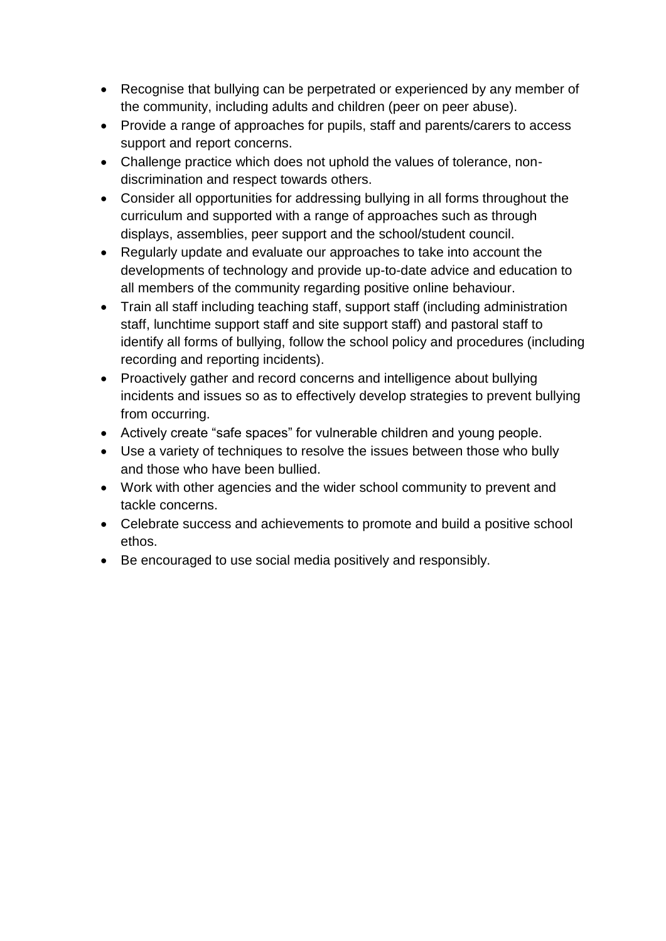- Recognise that bullying can be perpetrated or experienced by any member of the community, including adults and children (peer on peer abuse).
- Provide a range of approaches for pupils, staff and parents/carers to access support and report concerns.
- Challenge practice which does not uphold the values of tolerance, nondiscrimination and respect towards others.
- Consider all opportunities for addressing bullying in all forms throughout the curriculum and supported with a range of approaches such as through displays, assemblies, peer support and the school/student council.
- Regularly update and evaluate our approaches to take into account the developments of technology and provide up-to-date advice and education to all members of the community regarding positive online behaviour.
- Train all staff including teaching staff, support staff (including administration staff, lunchtime support staff and site support staff) and pastoral staff to identify all forms of bullying, follow the school policy and procedures (including recording and reporting incidents).
- Proactively gather and record concerns and intelligence about bullying incidents and issues so as to effectively develop strategies to prevent bullying from occurring.
- Actively create "safe spaces" for vulnerable children and young people.
- Use a variety of techniques to resolve the issues between those who bully and those who have been bullied.
- Work with other agencies and the wider school community to prevent and tackle concerns.
- Celebrate success and achievements to promote and build a positive school ethos.
- Be encouraged to use social media positively and responsibly.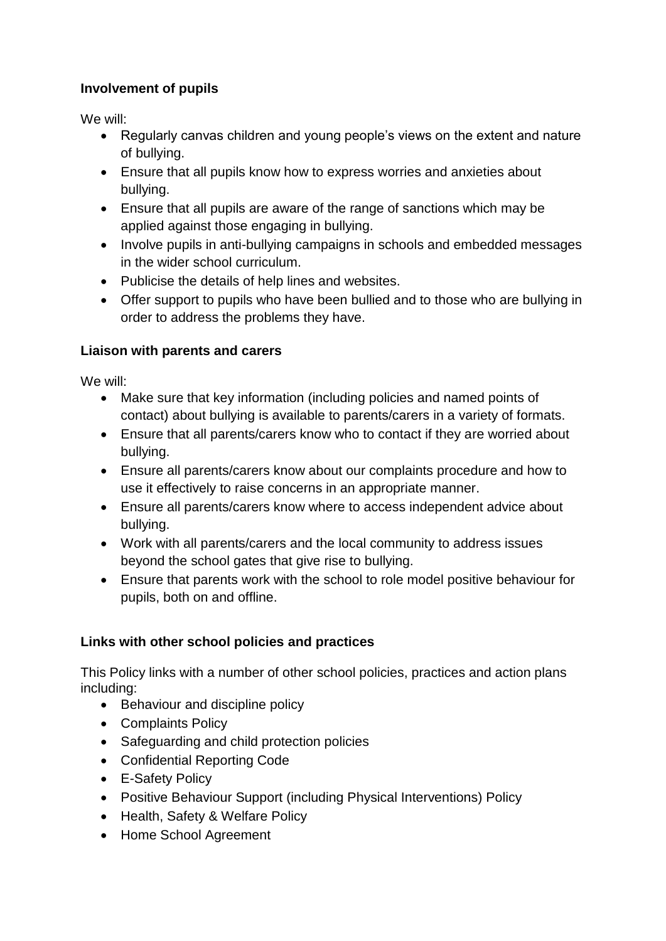#### **Involvement of pupils**

We will:

- Regularly canvas children and young people's views on the extent and nature of bullying.
- Ensure that all pupils know how to express worries and anxieties about bullying.
- Ensure that all pupils are aware of the range of sanctions which may be applied against those engaging in bullying.
- Involve pupils in anti-bullying campaigns in schools and embedded messages in the wider school curriculum.
- Publicise the details of help lines and websites.
- Offer support to pupils who have been bullied and to those who are bullying in order to address the problems they have.

#### **Liaison with parents and carers**

We will:

- Make sure that key information (including policies and named points of contact) about bullying is available to parents/carers in a variety of formats.
- Ensure that all parents/carers know who to contact if they are worried about bullying.
- Ensure all parents/carers know about our complaints procedure and how to use it effectively to raise concerns in an appropriate manner.
- Ensure all parents/carers know where to access independent advice about bullying.
- Work with all parents/carers and the local community to address issues beyond the school gates that give rise to bullying.
- Ensure that parents work with the school to role model positive behaviour for pupils, both on and offline.

#### **Links with other school policies and practices**

This Policy links with a number of other school policies, practices and action plans including:

- Behaviour and discipline policy
- Complaints Policy
- Safeguarding and child protection policies
- Confidential Reporting Code
- E-Safety Policy
- Positive Behaviour Support (including Physical Interventions) Policy
- Health, Safety & Welfare Policy
- Home School Agreement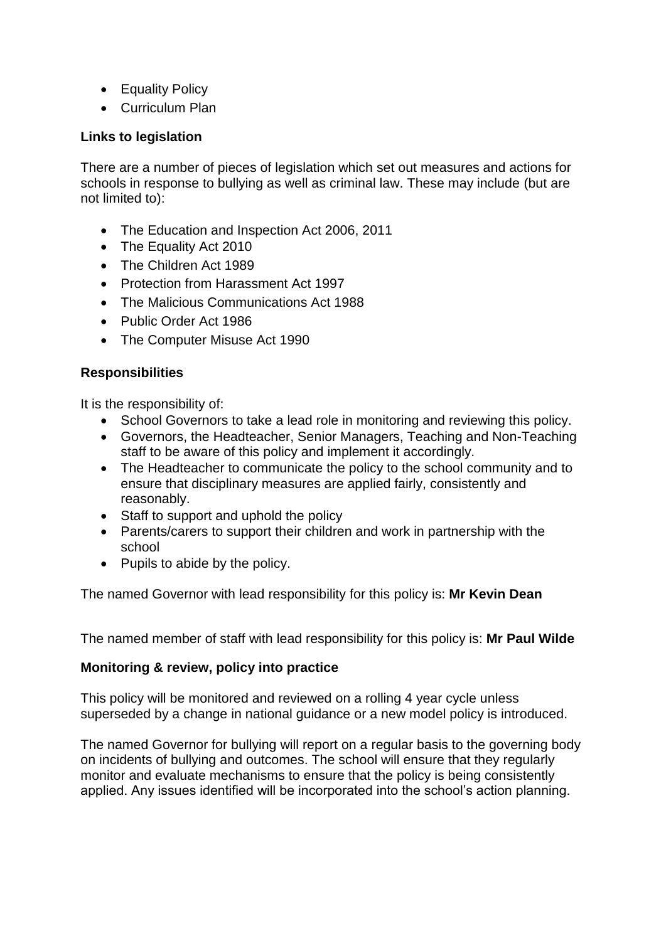- Equality Policy
- Curriculum Plan

#### **Links to legislation**

There are a number of pieces of legislation which set out measures and actions for schools in response to bullying as well as criminal law. These may include (but are not limited to):

- The Education and Inspection Act 2006, 2011
- The Equality Act 2010
- The Children Act 1989
- Protection from Harassment Act 1997
- The Malicious Communications Act 1988
- Public Order Act 1986
- The Computer Misuse Act 1990

#### **Responsibilities**

It is the responsibility of:

- School Governors to take a lead role in monitoring and reviewing this policy.
- Governors, the Headteacher, Senior Managers, Teaching and Non-Teaching staff to be aware of this policy and implement it accordingly.
- The Headteacher to communicate the policy to the school community and to ensure that disciplinary measures are applied fairly, consistently and reasonably.
- Staff to support and uphold the policy
- Parents/carers to support their children and work in partnership with the school
- Pupils to abide by the policy.

The named Governor with lead responsibility for this policy is: **Mr Kevin Dean**

The named member of staff with lead responsibility for this policy is: **Mr Paul Wilde**

#### **Monitoring & review, policy into practice**

This policy will be monitored and reviewed on a rolling 4 year cycle unless superseded by a change in national guidance or a new model policy is introduced.

The named Governor for bullying will report on a regular basis to the governing body on incidents of bullying and outcomes. The school will ensure that they regularly monitor and evaluate mechanisms to ensure that the policy is being consistently applied. Any issues identified will be incorporated into the school's action planning.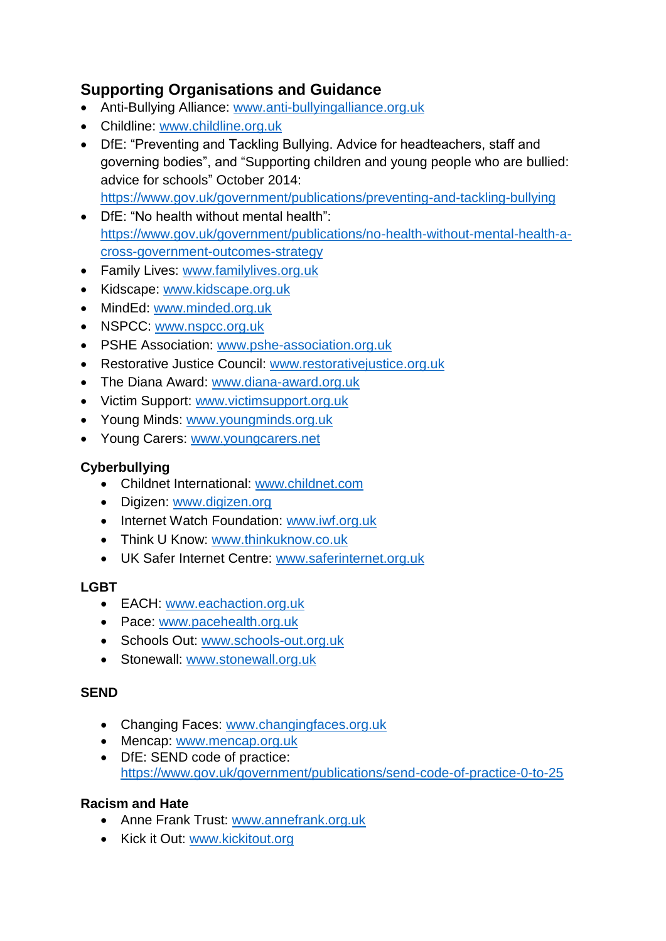### **Supporting Organisations and Guidance**

- Anti-Bullying Alliance: [www.anti-bullyingalliance.org.uk](http://www.anti-bullyingalliance.org.uk/)
- Childline: [www.childline.org.uk](http://www.childline.org.uk/)
- DfE: "Preventing and Tackling Bullying. Advice for headteachers, staff and governing bodies", and ["Supporting children and young people who are bullied:](https://www.gov.uk/government/uploads/system/uploads/attachment_data/file/292505/supporting_bullied_children_advice.pdf)  [advice for schools"](https://www.gov.uk/government/uploads/system/uploads/attachment_data/file/292505/supporting_bullied_children_advice.pdf) October 2014: <https://www.gov.uk/government/publications/preventing-and-tackling-bullying>
- DfE: "No health without mental health": [https://www.gov.uk/government/publications/no-health-without-mental-health-a](https://www.gov.uk/government/publications/no-health-without-mental-health-a-cross-government-outcomes-strategy)[cross-government-outcomes-strategy](https://www.gov.uk/government/publications/no-health-without-mental-health-a-cross-government-outcomes-strategy)
- Family Lives: [www.familylives.org.uk](http://www.familylives.org.uk/)
- Kidscape: [www.kidscape.org.uk](http://www.kidscape.org.uk/)
- MindEd: [www.minded.org.uk](http://www.minded.org.uk/)
- NSPCC: [www.nspcc.org.uk](http://www.nspcc.org.uk/)
- PSHE Association: [www.pshe-association.org.uk](http://www.pshe-association.org.uk/)
- Restorative Justice Council: [www.restorativejustice.org.uk](http://www.restorativejustice.org.uk/)
- The Diana Award: [www.diana-award.org.uk](http://www.diana-award.org.uk/)
- Victim Support: [www.victimsupport.org.uk](http://www.victimsupport.org.uk/)
- Young Minds: [www.youngminds.org.uk](http://www.youngminds.org.uk/)
- Young Carers: [www.youngcarers.net](http://www.youngcarers.net/)

#### **Cyberbullying**

- Childnet International: [www.childnet.com](http://www.childnet.com/)
- Digizen: [www.digizen.org](http://www.digizen.org/)
- Internet Watch Foundation: [www.iwf.org.uk](http://www.iwf.org.uk/)
- Think U Know: [www.thinkuknow.co.uk](http://www.thinkuknow.co.uk/)
- UK Safer Internet Centre: [www.saferinternet.org.uk](http://www.saferinternet.org.uk/)

#### **LGBT**

- EACH: [www.eachaction.org.uk](http://www.eachaction.org.uk/)
- Pace: [www.pacehealth.org.uk](http://www.pacehealth.org.uk/)
- Schools Out: [www.schools-out.org.uk](http://www.schools-out.org.uk/)
- Stonewall: [www.stonewall.org.uk](http://www.stonewall.org.uk/)

#### **SEND**

- Changing Faces: [www.changingfaces.org.uk](http://www.changingfaces.org.uk/)
- Mencap: [www.mencap.org.uk](http://www.mencap.org.uk/)
- DfE: SEND code of practice: <https://www.gov.uk/government/publications/send-code-of-practice-0-to-25>

#### **Racism and Hate**

- Anne Frank Trust: [www.annefrank.org.uk](http://www.annefrank.org.uk/)
- Kick it Out: [www.kickitout.org](http://www.kickitout.org/)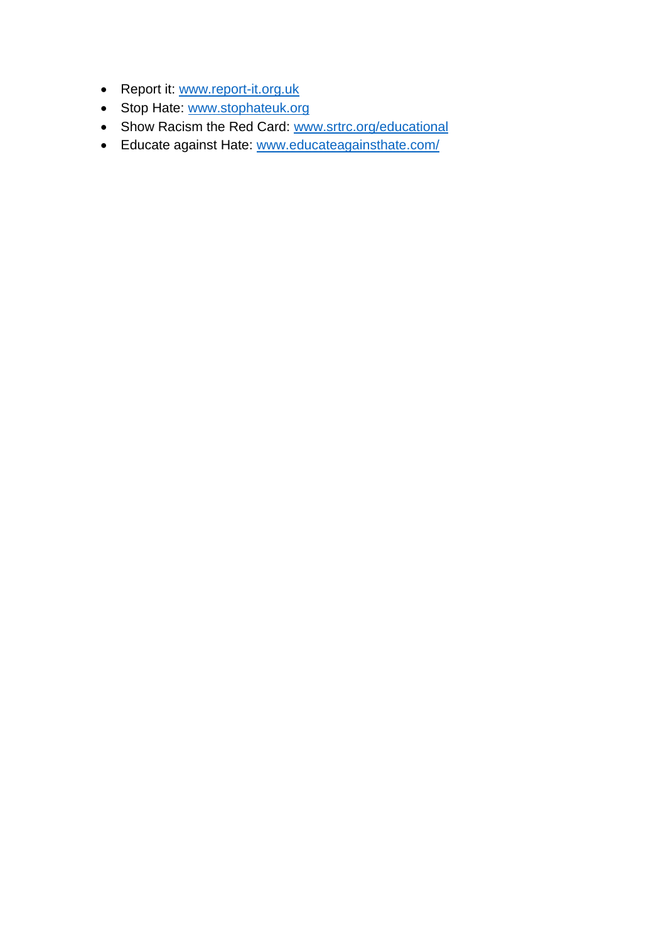- Report it: [www.report-it.org.uk](http://www.report-it.org.uk/)
- Stop Hate: [www.stophateuk.org](http://www.stophateuk.org/)
- Show Racism the Red Card: [www.srtrc.org/educational](http://www.srtrc.org/educational)
- Educate against Hate: [www.educateagainsthate.com/](http://www.educateagainsthate.com/)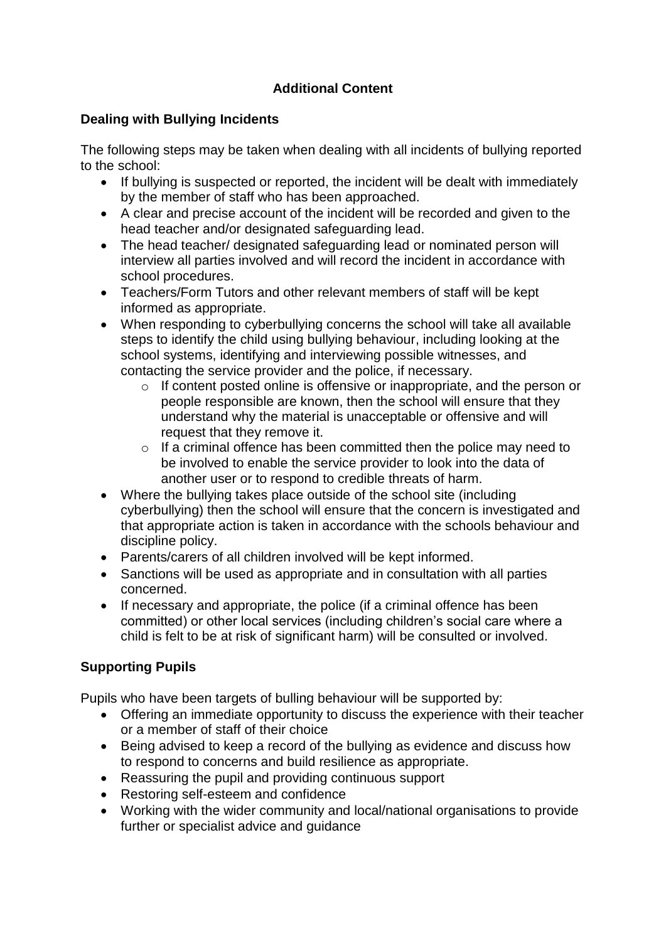#### **Additional Content**

#### **Dealing with Bullying Incidents**

The following steps may be taken when dealing with all incidents of bullying reported to the school:

- If bullying is suspected or reported, the incident will be dealt with immediately by the member of staff who has been approached.
- A clear and precise account of the incident will be recorded and given to the head teacher and/or designated safeguarding lead.
- The head teacher/ designated safeguarding lead or nominated person will interview all parties involved and will record the incident in accordance with school procedures.
- Teachers/Form Tutors and other relevant members of staff will be kept informed as appropriate.
- When responding to cyberbullying concerns the school will take all available steps to identify the child using bullying behaviour, including looking at the school systems, identifying and interviewing possible witnesses, and contacting the service provider and the police, if necessary.
	- $\circ$  If content posted online is offensive or inappropriate, and the person or people responsible are known, then the school will ensure that they understand why the material is unacceptable or offensive and will request that they remove it.
	- o If a criminal offence has been committed then the police may need to be involved to enable the service provider to look into the data of another user or to respond to credible threats of harm.
- Where the bullying takes place outside of the school site (including cyberbullying) then the school will ensure that the concern is investigated and that appropriate action is taken in accordance with the schools behaviour and discipline policy.
- Parents/carers of all children involved will be kept informed.
- Sanctions will be used as appropriate and in consultation with all parties concerned.
- If necessary and appropriate, the police (if a criminal offence has been committed) or other local services (including children's social care where a child is felt to be at risk of significant harm) will be consulted or involved.

#### **Supporting Pupils**

Pupils who have been targets of bulling behaviour will be supported by:

- Offering an immediate opportunity to discuss the experience with their teacher or a member of staff of their choice
- Being advised to keep a record of the bullying as evidence and discuss how to respond to concerns and build resilience as appropriate.
- Reassuring the pupil and providing continuous support
- Restoring self-esteem and confidence
- Working with the wider community and local/national organisations to provide further or specialist advice and guidance